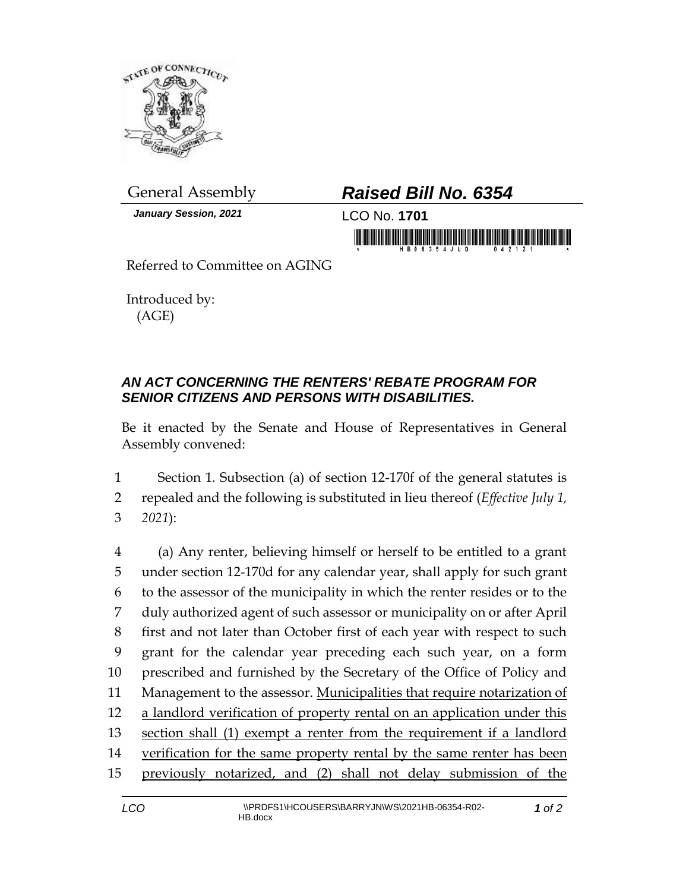

*January Session, 2021* LCO No. **1701**

## General Assembly *Raised Bill No. 6354*

in morning friend in his property in the property of the second party of the second party of the second party of the second party of the second party of the second party of the second party of the second party of the secon

Referred to Committee on AGING

Introduced by: (AGE)

## *AN ACT CONCERNING THE RENTERS' REBATE PROGRAM FOR SENIOR CITIZENS AND PERSONS WITH DISABILITIES.*

Be it enacted by the Senate and House of Representatives in General Assembly convened:

1 Section 1. Subsection (a) of section 12-170f of the general statutes is 2 repealed and the following is substituted in lieu thereof (*Effective July 1,*  3 *2021*):

 (a) Any renter, believing himself or herself to be entitled to a grant under section 12-170d for any calendar year, shall apply for such grant to the assessor of the municipality in which the renter resides or to the duly authorized agent of such assessor or municipality on or after April first and not later than October first of each year with respect to such grant for the calendar year preceding each such year, on a form prescribed and furnished by the Secretary of the Office of Policy and Management to the assessor. Municipalities that require notarization of a landlord verification of property rental on an application under this section shall (1) exempt a renter from the requirement if a landlord 14 verification for the same property rental by the same renter has been previously notarized, and (2) shall not delay submission of the